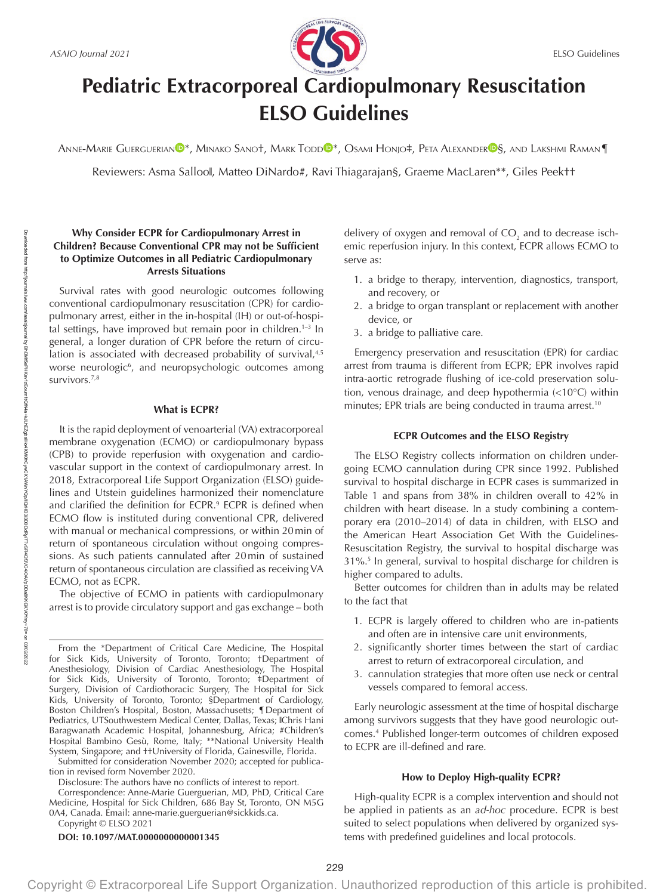

# **Pediatric Extracorporeal Cardiopulmonary Resuscitation ELSO Guidelines**

A[N](https://orcid.org/0000-0002-2621-5128)NE-MA[R](https://orcid.org/0000-0003-4837-7598)IE GUERGUERIAN<sup>®\*</sup>, Minako Sano†, Mark Todd®\*, Osami Honjo‡, Peta Alexander®§, and Lakshmi Raman¶

Reviewers: Asma Salloo‖, Matteo DiNardo#, Ravi Thiagarajan§, Graeme MacLaren\*\*, Giles Peek††

# **Why Consider ECPR for Cardiopulmonary Arrest in Children? Because Conventional CPR may not be Sufficient to Optimize Outcomes in all Pediatric Cardiopulmonary Arrests Situations**

Survival rates with good neurologic outcomes following conventional cardiopulmonary resuscitation (CPR) for cardiopulmonary arrest, either in the in-hospital (IH) or out-of-hospital settings, have improved but remain poor in children.<sup>1-3</sup> In general, a longer duration of CPR before the return of circulation is associated with decreased probability of survival,<sup>4,5</sup> worse neurologic<sup>6</sup>, and neuropsychologic outcomes among survivors.<sup>7,8</sup>

# **What is ECPR?**

It is the rapid deployment of venoarterial (VA) extracorporeal membrane oxygenation (ECMO) or cardiopulmonary bypass (CPB) to provide reperfusion with oxygenation and cardiovascular support in the context of cardiopulmonary arrest. In 2018, Extracorporeal Life Support Organization (ELSO) guidelines and Utstein guidelines harmonized their nomenclature and clarified the definition for ECPR.<sup>9</sup> ECPR is defined when ECMO flow is instituted during conventional CPR, delivered with manual or mechanical compressions, or within 20min of return of spontaneous circulation without ongoing compressions. As such patients cannulated after 20min of sustained return of spontaneous circulation are classified as receiving VA ECMO, not as ECPR.

The objective of ECMO in patients with cardiopulmonary arrest is to provide circulatory support and gas exchange – both

Submitted for consideration November 2020; accepted for publication in revised form November 2020.

Disclosure: The authors have no conflicts of interest to report.

Correspondence: Anne-Marie Guerguerian, MD, PhD, Critical Care Medicine, Hospital for Sick Children, 686 Bay St, Toronto, ON M5G 0A4, Canada. Email: [anne-marie.guerguerian@sickkids.ca.](mailto:anne-marie.guerguerian@sickkids.ca)

Copyright © ELSO 2021

## **DOI: 10.1097/MAT.0000000000001345**

delivery of oxygen and removal of CO $_{\textrm{\tiny{2}}}$  and to decrease ischemic reperfusion injury. In this context, ECPR allows ECMO to serve as:

- 1. a bridge to therapy, intervention, diagnostics, transport, and recovery, or
- 2. a bridge to organ transplant or replacement with another device, or
- 3. a bridge to palliative care.

Emergency preservation and resuscitation (EPR) for cardiac arrest from trauma is different from ECPR; EPR involves rapid intra-aortic retrograde flushing of ice-cold preservation solution, venous drainage, and deep hypothermia (<10°C) within minutes; EPR trials are being conducted in trauma arrest.<sup>10</sup>

# **ECPR Outcomes and the ELSO Registry**

The ELSO Registry collects information on children undergoing ECMO cannulation during CPR since 1992. Published survival to hospital discharge in ECPR cases is summarized in Table 1 and spans from 38% in children overall to 42% in children with heart disease. In a study combining a contemporary era (2010–2014) of data in children, with ELSO and the American Heart Association Get With the Guidelines-Resuscitation Registry, the survival to hospital discharge was 31%.5 In general, survival to hospital discharge for children is higher compared to adults.

Better outcomes for children than in adults may be related to the fact that

- 1. ECPR is largely offered to children who are in-patients and often are in intensive care unit environments,
- 2. significantly shorter times between the start of cardiac arrest to return of extracorporeal circulation, and
- 3. cannulation strategies that more often use neck or central vessels compared to femoral access.

Early neurologic assessment at the time of hospital discharge among survivors suggests that they have good neurologic outcomes.4 Published longer-term outcomes of children exposed to ECPR are ill-defined and rare.

## **How to Deploy High-quality ECPR?**

High-quality ECPR is a complex intervention and should not be applied in patients as an *ad-hoc* procedure. ECPR is best suited to select populations when delivered by organized systems with predefined guidelines and local protocols.

From the \*Department of Critical Care Medicine, The Hospital for Sick Kids, University of Toronto, Toronto; †Department of Anesthesiology, Division of Cardiac Anesthesiology, The Hospital for Sick Kids, University of Toronto, Toronto; ‡Department of Surgery, Division of Cardiothoracic Surgery, The Hospital for Sick Kids, University of Toronto, Toronto; §Department of Cardiology, Boston Children's Hospital, Boston, Massachusetts; ¶Department of Pediatrics, UTSouthwestern Medical Center, Dallas, Texas; IChris Hani Baragwanath Academic Hospital, Johannesburg, Africa; #Children's Hospital Bambino Gesù, Rome, Italy; \*\*National University Health System, Singapore; and ††University of Florida, Gainesville, Florida.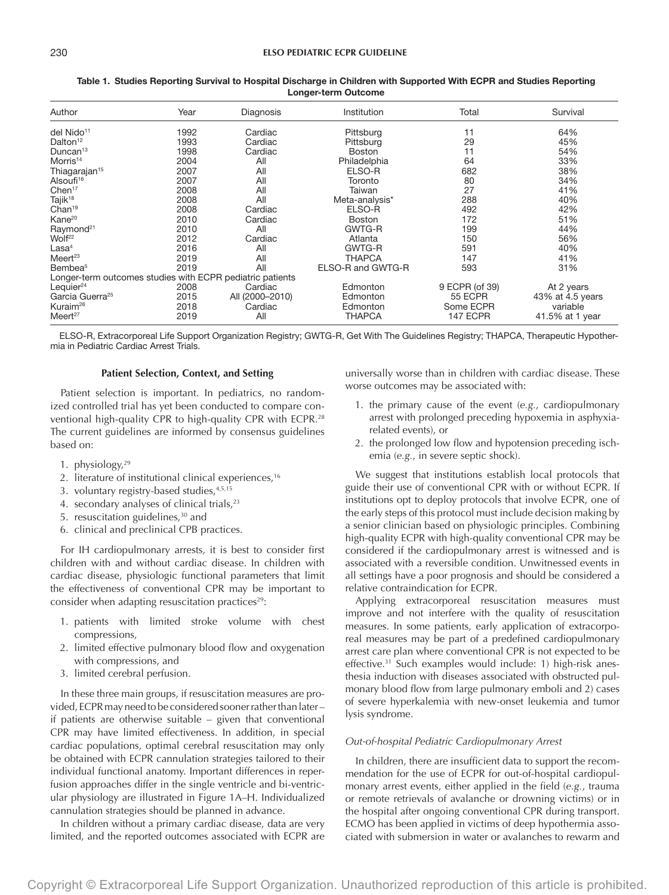| Author                                                    | Year | Diagnosis       | Institution       | Total           | Survival         |
|-----------------------------------------------------------|------|-----------------|-------------------|-----------------|------------------|
| del Nido <sup>11</sup>                                    | 1992 | Cardiac         | Pittsburg         | 11              | 64%              |
| Dalton <sup>12</sup>                                      | 1993 | Cardiac         | Pittsburg         | 29              | 45%              |
| Duncan <sup>13</sup>                                      | 1998 | Cardiac         | <b>Boston</b>     | 11              | 54%              |
| Morris <sup>14</sup>                                      | 2004 | All             | Philadelphia      | 64              | 33%              |
| Thiagarajan <sup>15</sup>                                 | 2007 | All             | ELSO-R            | 682             | 38%              |
| Alsoufi <sup>16</sup>                                     | 2007 | All             | Toronto           | 80              | 34%              |
| Chen <sup>17</sup>                                        | 2008 | All             | Taiwan            | 27              | 41%              |
| Tajik <sup>18</sup>                                       | 2008 | All             | Meta-analysis*    | 288             | 40%              |
| Chan <sup>19</sup>                                        | 2008 | Cardiac         | ELSO-R            | 492             | 42%              |
| Kane <sup>20</sup>                                        | 2010 | Cardiac         | <b>Boston</b>     | 172             | 51%              |
| Raymond <sup>21</sup>                                     | 2010 | All             | <b>GWTG-R</b>     | 199             | 44%              |
| Wolf <sup>22</sup>                                        | 2012 | Cardiac         | Atlanta           | 150             | 56%              |
| Las <sup>4</sup>                                          | 2016 | All             | GWTG-R            | 591             | 40%              |
| Meert <sup>23</sup>                                       | 2019 | All             | THAPCA            | 147             | 41%              |
| Bembea <sup>5</sup>                                       | 2019 | All             | ELSO-R and GWTG-R | 593             | 31%              |
| Longer-term outcomes studies with ECPR pediatric patients |      |                 |                   |                 |                  |
| Lequier $24$                                              | 2008 | Cardiac         | Edmonton          | 9 ECPR (of 39)  | At 2 years       |
| Garcia Guerra <sup>25</sup>                               | 2015 | All (2000-2010) | Edmonton          | 55 ECPR         | 43% at 4.5 years |
| Kuraim <sup>26</sup>                                      | 2018 | Cardiac         | Edmonton          | Some ECPR       | variable         |
| Meert <sup>27</sup>                                       | 2019 | All             | THAPCA            | <b>147 ECPR</b> | 41.5% at 1 year  |

## Table 1. Studies Reporting Survival to Hospital Discharge in Children with Supported With ECPR and Studies Reporting Longer-term Outcome

ELSO-R, Extracorporeal Life Support Organization Registry; GWTG-R, Get With The Guidelines Registry; THAPCA, Therapeutic Hypothermia in Pediatric Cardiac Arrest Trials.

# **Patient Selection, Context, and Setting**

Patient selection is important. In pediatrics, no randomized controlled trial has yet been conducted to compare conventional high-quality CPR to high-quality CPR with ECPR.28 The current guidelines are informed by consensus guidelines based on:

- 1. physiology, $29$
- 2. literature of institutional clinical experiences,<sup>16</sup>
- 3. voluntary registry-based studies, 4,5,15
- 4. secondary analyses of clinical trials,<sup>23</sup>
- 5. resuscitation guidelines,<sup>30</sup> and
- 6. clinical and preclinical CPB practices.

For IH cardiopulmonary arrests, it is best to consider first children with and without cardiac disease. In children with cardiac disease, physiologic functional parameters that limit the effectiveness of conventional CPR may be important to consider when adapting resuscitation practices $29$ :

- 1. patients with limited stroke volume with chest compressions,
- 2. limited effective pulmonary blood flow and oxygenation with compressions, and
- 3. limited cerebral perfusion.

In these three main groups, if resuscitation measures are provided, ECPR may need to be considered sooner rather than later – if patients are otherwise suitable – given that conventional CPR may have limited effectiveness. In addition, in special cardiac populations, optimal cerebral resuscitation may only be obtained with ECPR cannulation strategies tailored to their individual functional anatomy. Important differences in reperfusion approaches differ in the single ventricle and bi-ventricular physiology are illustrated in Figure 1A–H. Individualized cannulation strategies should be planned in advance.

In children without a primary cardiac disease, data are very limited, and the reported outcomes associated with ECPR are universally worse than in children with cardiac disease. These worse outcomes may be associated with:

- 1. the primary cause of the event (*e.g.*, cardiopulmonary arrest with prolonged preceding hypoxemia in asphyxiarelated events), or
- 2. the prolonged low flow and hypotension preceding ischemia (*e.g.*, in severe septic shock).

We suggest that institutions establish local protocols that guide their use of conventional CPR with or without ECPR. If institutions opt to deploy protocols that involve ECPR, one of the early steps of this protocol must include decision making by a senior clinician based on physiologic principles. Combining high-quality ECPR with high-quality conventional CPR may be considered if the cardiopulmonary arrest is witnessed and is associated with a reversible condition. Unwitnessed events in all settings have a poor prognosis and should be considered a relative contraindication for ECPR.

Applying extracorporeal resuscitation measures must improve and not interfere with the quality of resuscitation measures. In some patients, early application of extracorporeal measures may be part of a predefined cardiopulmonary arrest care plan where conventional CPR is not expected to be effective.<sup>31</sup> Such examples would include: 1) high-risk anesthesia induction with diseases associated with obstructed pulmonary blood flow from large pulmonary emboli and 2) cases of severe hyperkalemia with new-onset leukemia and tumor lysis syndrome.

#### *Out-of-hospital Pediatric Cardiopulmonary Arrest*

In children, there are insufficient data to support the recommendation for the use of ECPR for out-of-hospital cardiopulmonary arrest events, either applied in the field (*e.g.*, trauma or remote retrievals of avalanche or drowning victims) or in the hospital after ongoing conventional CPR during transport. ECMO has been applied in victims of deep hypothermia associated with submersion in water or avalanches to rewarm and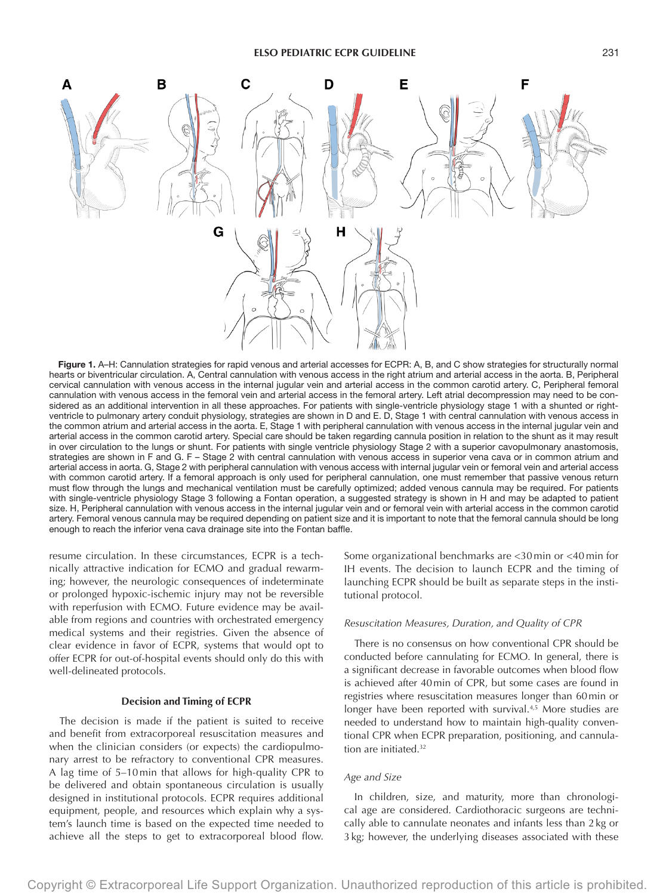

Figure 1. A–H: Cannulation strategies for rapid venous and arterial accesses for ECPR: A, B, and C show strategies for structurally normal hearts or biventricular circulation. A, Central cannulation with venous access in the right atrium and arterial access in the aorta. B, Peripheral cervical cannulation with venous access in the internal jugular vein and arterial access in the common carotid artery. C, Peripheral femoral cannulation with venous access in the femoral vein and arterial access in the femoral artery. Left atrial decompression may need to be considered as an additional intervention in all these approaches. For patients with single-ventricle physiology stage 1 with a shunted or rightventricle to pulmonary artery conduit physiology, strategies are shown in D and E. D, Stage 1 with central cannulation with venous access in the common atrium and arterial access in the aorta. E, Stage 1 with peripheral cannulation with venous access in the internal jugular vein and arterial access in the common carotid artery. Special care should be taken regarding cannula position in relation to the shunt as it may result in over circulation to the lungs or shunt. For patients with single ventricle physiology Stage 2 with a superior cavopulmonary anastomosis, strategies are shown in F and G. F – Stage 2 with central cannulation with venous access in superior vena cava or in common atrium and arterial access in aorta. G, Stage 2 with peripheral cannulation with venous access with internal jugular vein or femoral vein and arterial access with common carotid artery. If a femoral approach is only used for peripheral cannulation, one must remember that passive venous return must flow through the lungs and mechanical ventilation must be carefully optimized; added venous cannula may be required. For patients with single-ventricle physiology Stage 3 following a Fontan operation, a suggested strategy is shown in H and may be adapted to patient size. H, Peripheral cannulation with venous access in the internal jugular vein and or femoral vein with arterial access in the common carotid artery. Femoral venous cannula may be required depending on patient size and it is important to note that the femoral cannula should be long enough to reach the inferior vena cava drainage site into the Fontan baffle.

resume circulation. In these circumstances, ECPR is a technically attractive indication for ECMO and gradual rewarming; however, the neurologic consequences of indeterminate or prolonged hypoxic-ischemic injury may not be reversible with reperfusion with ECMO. Future evidence may be available from regions and countries with orchestrated emergency medical systems and their registries. Given the absence of clear evidence in favor of ECPR, systems that would opt to offer ECPR for out-of-hospital events should only do this with well-delineated protocols.

## **Decision and Timing of ECPR**

The decision is made if the patient is suited to receive and benefit from extracorporeal resuscitation measures and when the clinician considers (or expects) the cardiopulmonary arrest to be refractory to conventional CPR measures. A lag time of 5–10 min that allows for high-quality CPR to be delivered and obtain spontaneous circulation is usually designed in institutional protocols. ECPR requires additional equipment, people, and resources which explain why a system's launch time is based on the expected time needed to achieve all the steps to get to extracorporeal blood flow.

Some organizational benchmarks are <30 min or <40 min for IH events. The decision to launch ECPR and the timing of launching ECPR should be built as separate steps in the institutional protocol.

## *Resuscitation Measures, Duration, and Quality of CPR*

There is no consensus on how conventional CPR should be conducted before cannulating for ECMO. In general, there is a significant decrease in favorable outcomes when blood flow is achieved after 40min of CPR, but some cases are found in registries where resuscitation measures longer than 60min or longer have been reported with survival.<sup>4,5</sup> More studies are needed to understand how to maintain high-quality conventional CPR when ECPR preparation, positioning, and cannulation are initiated.<sup>32</sup>

# *Age and Size*

In children, size, and maturity, more than chronological age are considered. Cardiothoracic surgeons are technically able to cannulate neonates and infants less than 2kg or 3kg; however, the underlying diseases associated with these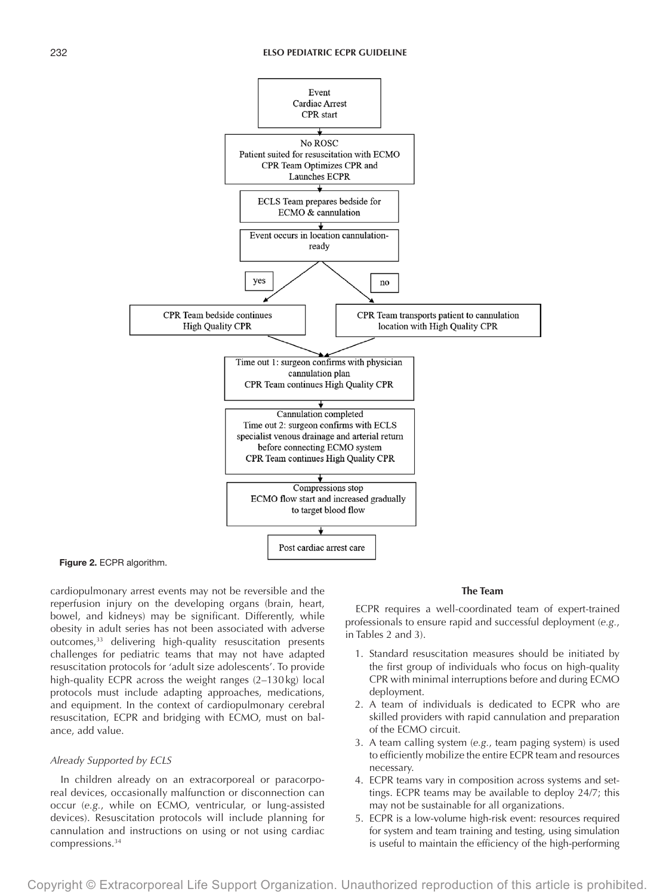

Figure 2. ECPR algorithm.

cardiopulmonary arrest events may not be reversible and the reperfusion injury on the developing organs (brain, heart, bowel, and kidneys) may be significant. Differently, while obesity in adult series has not been associated with adverse outcomes,<sup>33</sup> delivering high-quality resuscitation presents challenges for pediatric teams that may not have adapted resuscitation protocols for 'adult size adolescents'. To provide high-quality ECPR across the weight ranges (2–130kg) local protocols must include adapting approaches, medications, and equipment. In the context of cardiopulmonary cerebral resuscitation, ECPR and bridging with ECMO, must on balance, add value.

# *Already Supported by ECLS*

In children already on an extracorporeal or paracorporeal devices, occasionally malfunction or disconnection can occur (*e.g.*, while on ECMO, ventricular, or lung-assisted devices). Resuscitation protocols will include planning for cannulation and instructions on using or not using cardiac compressions.34

## **The Team**

ECPR requires a well-coordinated team of expert-trained professionals to ensure rapid and successful deployment (*e.g.*, in Tables 2 and 3).

- 1. Standard resuscitation measures should be initiated by the first group of individuals who focus on high-quality CPR with minimal interruptions before and during ECMO deployment.
- 2. A team of individuals is dedicated to ECPR who are skilled providers with rapid cannulation and preparation of the ECMO circuit.
- 3. A team calling system (*e.g.*, team paging system) is used to efficiently mobilize the entire ECPR team and resources necessary.
- 4. ECPR teams vary in composition across systems and settings. ECPR teams may be available to deploy 24/7; this may not be sustainable for all organizations.
- 5. ECPR is a low-volume high-risk event: resources required for system and team training and testing, using simulation is useful to maintain the efficiency of the high-performing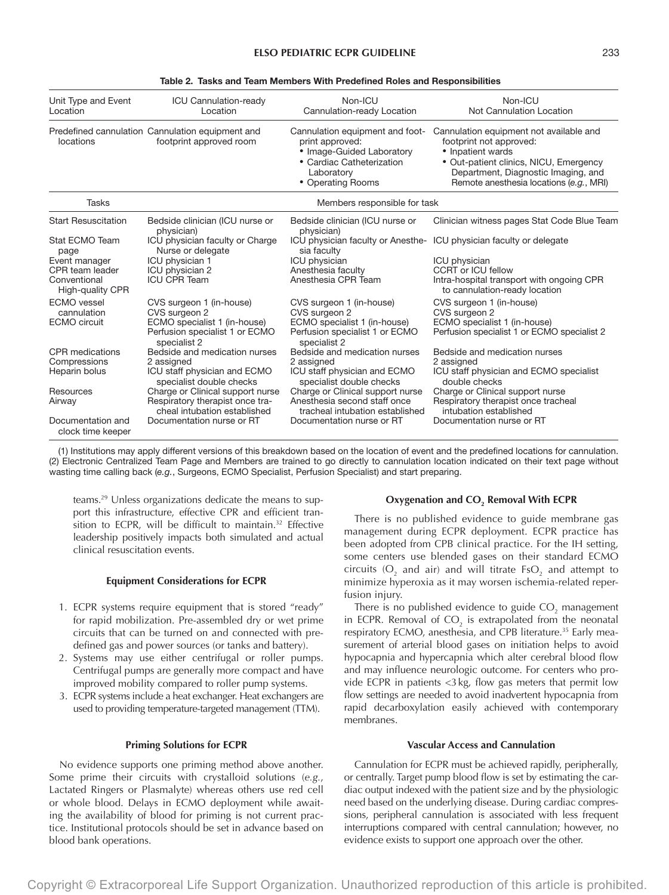| Unit Type and Event<br>Location                                                                       | ICU Cannulation-ready<br>Location                                                                                                                                                                              | Non-ICU<br>Cannulation-ready Location                                                                                                                                                                          | Non-ICU<br>Not Cannulation Location                                                                                                                                                                                 |
|-------------------------------------------------------------------------------------------------------|----------------------------------------------------------------------------------------------------------------------------------------------------------------------------------------------------------------|----------------------------------------------------------------------------------------------------------------------------------------------------------------------------------------------------------------|---------------------------------------------------------------------------------------------------------------------------------------------------------------------------------------------------------------------|
| locations                                                                                             | Predefined cannulation Cannulation equipment and<br>footprint approved room                                                                                                                                    | Cannulation equipment and foot-<br>print approved:<br>· Image-Guided Laboratory<br>• Cardiac Catheterization<br>Laboratory<br>• Operating Rooms                                                                | Cannulation equipment not available and<br>footprint not approved:<br>• Inpatient wards<br>• Out-patient clinics, NICU, Emergency<br>Department, Diagnostic Imaging, and<br>Remote anesthesia locations (e.g., MRI) |
| <b>Tasks</b>                                                                                          |                                                                                                                                                                                                                | Members responsible for task                                                                                                                                                                                   |                                                                                                                                                                                                                     |
| <b>Start Resuscitation</b>                                                                            | Bedside clinician (ICU nurse or<br>physician)                                                                                                                                                                  | Bedside clinician (ICU nurse or<br>physician)                                                                                                                                                                  | Clinician witness pages Stat Code Blue Team                                                                                                                                                                         |
| Stat ECMO Team<br>page<br>Event manager<br>CPR team leader<br>Conventional<br><b>High-quality CPR</b> | ICU physician faculty or Charge<br>Nurse or delegate<br>ICU physician 1<br>ICU physician 2<br><b>ICU CPR Team</b>                                                                                              | ICU physician faculty or Anesthe-<br>sia faculty<br>ICU physician<br>Anesthesia faculty<br>Anesthesia CPR Team                                                                                                 | ICU physician faculty or delegate<br><b>ICU</b> physician<br><b>CCRT or ICU fellow</b><br>Intra-hospital transport with ongoing CPR<br>to cannulation-ready location                                                |
| <b>ECMO</b> vessel<br>cannulation<br><b>ECMO</b> circuit                                              | CVS surgeon 1 (in-house)<br>CVS surgeon 2<br>ECMO specialist 1 (in-house)<br>Perfusion specialist 1 or ECMO<br>specialist 2                                                                                    | CVS surgeon 1 (in-house)<br>CVS surgeon 2<br>ECMO specialist 1 (in-house)<br>Perfusion specialist 1 or ECMO<br>specialist 2                                                                                    | CVS surgeon 1 (in-house)<br>CVS surgeon 2<br>ECMO specialist 1 (in-house)<br>Perfusion specialist 1 or ECMO specialist 2                                                                                            |
| CPR medications<br>Compressions<br>Heparin bolus<br>Resources<br>Airway                               | Bedside and medication nurses<br>2 assigned<br>ICU staff physician and ECMO<br>specialist double checks<br>Charge or Clinical support nurse<br>Respiratory therapist once tra-<br>cheal intubation established | Bedside and medication nurses<br>2 assigned<br>ICU staff physician and ECMO<br>specialist double checks<br>Charge or Clinical support nurse<br>Anesthesia second staff once<br>tracheal intubation established | Bedside and medication nurses<br>2 assigned<br>ICU staff physician and ECMO specialist<br>double checks<br>Charge or Clinical support nurse<br>Respiratory therapist once tracheal<br>intubation established        |
| Documentation and<br>clock time keeper                                                                | Documentation nurse or RT                                                                                                                                                                                      | Documentation nurse or RT                                                                                                                                                                                      | Documentation nurse or RT                                                                                                                                                                                           |

## Table 2. Tasks and Team Members With Predefined Roles and Responsibilities

(1) Institutions may apply different versions of this breakdown based on the location of event and the predefined locations for cannulation. (2) Electronic Centralized Team Page and Members are trained to go directly to cannulation location indicated on their text page without wasting time calling back (*e.g.*, Surgeons, ECMO Specialist, Perfusion Specialist) and start preparing.

teams.29 Unless organizations dedicate the means to support this infrastructure, effective CPR and efficient transition to ECPR, will be difficult to maintain.<sup>32</sup> Effective leadership positively impacts both simulated and actual clinical resuscitation events.

## **Equipment Considerations for ECPR**

- 1. ECPR systems require equipment that is stored "ready" for rapid mobilization. Pre-assembled dry or wet prime circuits that can be turned on and connected with predefined gas and power sources (or tanks and battery).
- 2. Systems may use either centrifugal or roller pumps. Centrifugal pumps are generally more compact and have improved mobility compared to roller pump systems.
- 3. ECPR systems include a heat exchanger. Heat exchangers are used to providing temperature-targeted management (TTM).

#### **Priming Solutions for ECPR**

No evidence supports one priming method above another. Some prime their circuits with crystalloid solutions (*e.g.*, Lactated Ringers or Plasmalyte) whereas others use red cell or whole blood. Delays in ECMO deployment while awaiting the availability of blood for priming is not current practice. Institutional protocols should be set in advance based on blood bank operations.

# **Oxygenation and CO2 Removal With ECPR**

There is no published evidence to guide membrane gas management during ECPR deployment. ECPR practice has been adopted from CPB clinical practice. For the IH setting, some centers use blended gases on their standard ECMO circuits ( $O_2$  and air) and will titrate  $FsO_2$  and attempt to minimize hyperoxia as it may worsen ischemia-related reperfusion injury.

There is no published evidence to guide  $\mathrm{CO}_2$  management in ECPR. Removal of  $CO<sub>2</sub>$  is extrapolated from the neonatal respiratory ECMO, anesthesia, and CPB literature.<sup>35</sup> Early measurement of arterial blood gases on initiation helps to avoid hypocapnia and hypercapnia which alter cerebral blood flow and may influence neurologic outcome. For centers who provide ECPR in patients <3kg, flow gas meters that permit low flow settings are needed to avoid inadvertent hypocapnia from rapid decarboxylation easily achieved with contemporary membranes.

#### **Vascular Access and Cannulation**

Cannulation for ECPR must be achieved rapidly, peripherally, or centrally. Target pump blood flow is set by estimating the cardiac output indexed with the patient size and by the physiologic need based on the underlying disease. During cardiac compressions, peripheral cannulation is associated with less frequent interruptions compared with central cannulation; however, no evidence exists to support one approach over the other.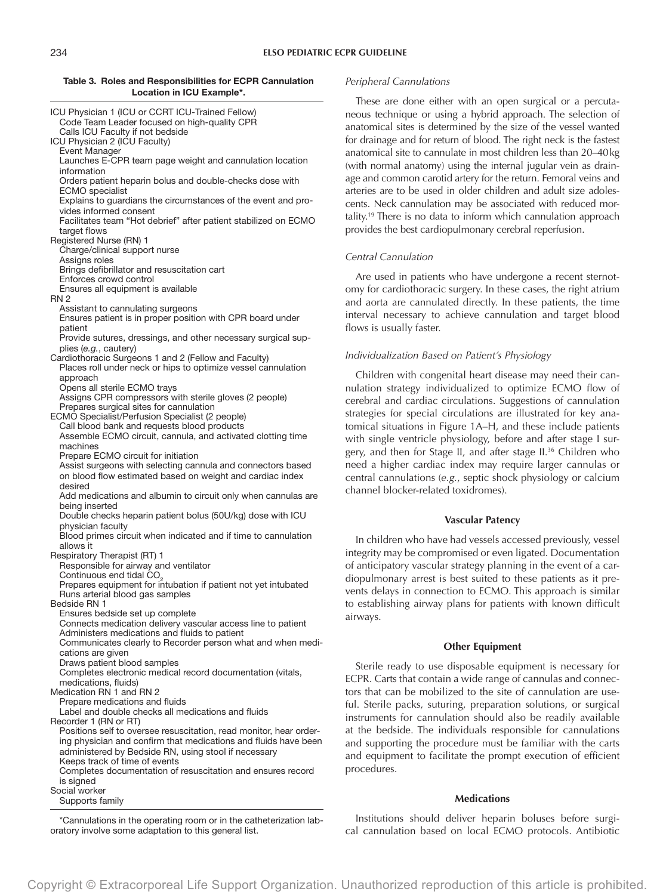## Table 3. Roles and Responsibilities for ECPR Cannulation Location in ICU Example\*.

| ICU Physician 1 (ICU or CCRT ICU-Trained Fellow)<br>Code Team Leader focused on high-quality CPR                        |
|-------------------------------------------------------------------------------------------------------------------------|
| Calls ICU Faculty if not bedside<br>ICU Physician 2 (ICU Faculty)<br>Event Manager                                      |
| Launches E-CPR team page weight and cannulation location<br>information                                                 |
| Orders patient heparin bolus and double-checks dose with<br><b>ECMO</b> specialist                                      |
| Explains to guardians the circumstances of the event and pro-<br>vides informed consent                                 |
| Facilitates team "Hot debrief" after patient stabilized on ECMO<br>target flows                                         |
| Registered Nurse (RN) 1                                                                                                 |
| Charge/clinical support nurse<br>Assigns roles                                                                          |
| Brings defibrillator and resuscitation cart<br>Enforces crowd control                                                   |
| Ensures all equipment is available<br><b>RN 2</b>                                                                       |
| Assistant to cannulating surgeons                                                                                       |
| Ensures patient is in proper position with CPR board under<br>patient                                                   |
| Provide sutures, dressings, and other necessary surgical sup-                                                           |
| plies (e.g., cautery)<br>Cardiothoracic Surgeons 1 and 2 (Fellow and Faculty)                                           |
| Places roll under neck or hips to optimize vessel cannulation<br>approach                                               |
| Opens all sterile ECMO trays                                                                                            |
| Assigns CPR compressors with sterile gloves (2 people)<br>Prepares surgical sites for cannulation                       |
| ECMO Specialist/Perfusion Specialist (2 people)                                                                         |
| Call blood bank and requests blood products<br>Assemble ECMO circuit, cannula, and activated clotting time              |
| machines                                                                                                                |
| Prepare ECMO circuit for initiation<br>Assist surgeons with selecting cannula and connectors based                      |
| on blood flow estimated based on weight and cardiac index                                                               |
| desired<br>Add medications and albumin to circuit only when cannulas are                                                |
| being inserted<br>Double checks heparin patient bolus (50U/kg) dose with ICU                                            |
| physician faculty<br>Blood primes circuit when indicated and if time to cannulation                                     |
| allows it                                                                                                               |
| Respiratory Therapist (RT) 1<br>Responsible for airway and ventilator                                                   |
| Continuous end tidal CO <sub>2</sub>                                                                                    |
| Prepares equipment for intubation if patient not yet intubated<br>Runs arterial blood gas samples                       |
| Bedside RN 1                                                                                                            |
| Ensures bedside set up complete<br>Connects medication delivery vascular access line to patient                         |
| Administers medications and fluids to patient                                                                           |
| Communicates clearly to Recorder person what and when medi-<br>cations are given                                        |
| Draws patient blood samples                                                                                             |
| Completes electronic medical record documentation (vitals,                                                              |
| medications, fluids)<br>Medication RN 1 and RN 2                                                                        |
| Prepare medications and fluids                                                                                          |
| Label and double checks all medications and fluids<br>Recorder 1 (RN or RT)                                             |
| Positions self to oversee resuscitation, read monitor, hear order-                                                      |
| ing physician and confirm that medications and fluids have been<br>administered by Bedside RN, using stool if necessary |
| Keeps track of time of events                                                                                           |
| Completes documentation of resuscitation and ensures record<br>is signed                                                |
| Social worker                                                                                                           |
| Supports family                                                                                                         |

\*Cannulations in the operating room or in the catheterization laboratory involve some adaptation to this general list.

# *Peripheral Cannulations*

These are done either with an open surgical or a percutaneous technique or using a hybrid approach. The selection of anatomical sites is determined by the size of the vessel wanted for drainage and for return of blood. The right neck is the fastest anatomical site to cannulate in most children less than 20–40kg (with normal anatomy) using the internal jugular vein as drainage and common carotid artery for the return. Femoral veins and arteries are to be used in older children and adult size adolescents. Neck cannulation may be associated with reduced mortality.<sup>19</sup> There is no data to inform which cannulation approach provides the best cardiopulmonary cerebral reperfusion.

# *Central Cannulation*

Are used in patients who have undergone a recent sternotomy for cardiothoracic surgery. In these cases, the right atrium and aorta are cannulated directly. In these patients, the time interval necessary to achieve cannulation and target blood flows is usually faster.

# *Individualization Based on Patient's Physiology*

Children with congenital heart disease may need their cannulation strategy individualized to optimize ECMO flow of cerebral and cardiac circulations. Suggestions of cannulation strategies for special circulations are illustrated for key anatomical situations in Figure 1A–H, and these include patients with single ventricle physiology, before and after stage I surgery, and then for Stage II, and after stage II.<sup>36</sup> Children who need a higher cardiac index may require larger cannulas or central cannulations (*e.g.*, septic shock physiology or calcium channel blocker-related toxidromes).

## **Vascular Patency**

In children who have had vessels accessed previously, vessel integrity may be compromised or even ligated. Documentation of anticipatory vascular strategy planning in the event of a cardiopulmonary arrest is best suited to these patients as it prevents delays in connection to ECMO. This approach is similar to establishing airway plans for patients with known difficult airways.

#### **Other Equipment**

Sterile ready to use disposable equipment is necessary for ECPR. Carts that contain a wide range of cannulas and connectors that can be mobilized to the site of cannulation are useful. Sterile packs, suturing, preparation solutions, or surgical instruments for cannulation should also be readily available at the bedside. The individuals responsible for cannulations and supporting the procedure must be familiar with the carts and equipment to facilitate the prompt execution of efficient procedures.

# **Medications**

Institutions should deliver heparin boluses before surgical cannulation based on local ECMO protocols. Antibiotic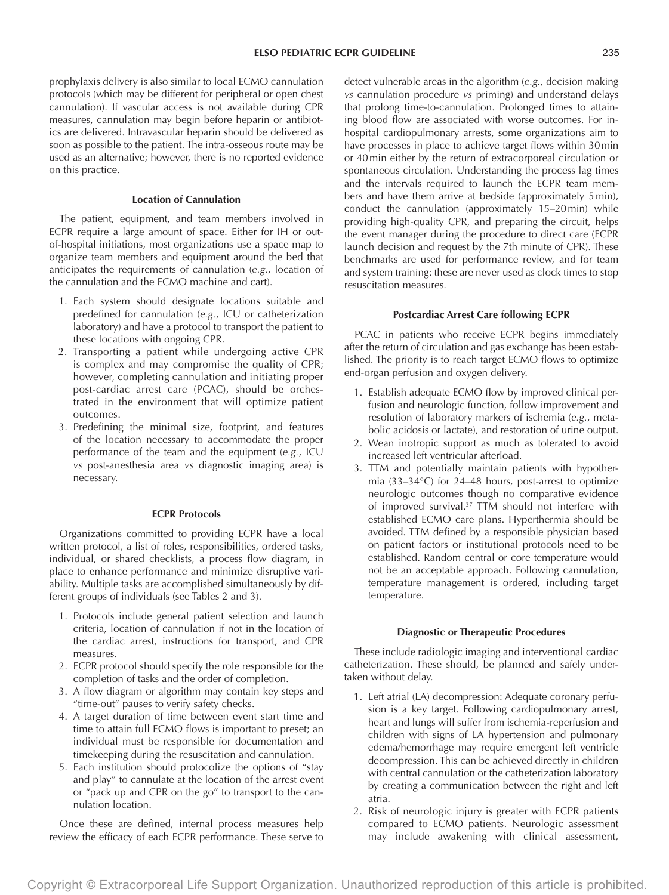prophylaxis delivery is also similar to local ECMO cannulation protocols (which may be different for peripheral or open chest cannulation). If vascular access is not available during CPR measures, cannulation may begin before heparin or antibiotics are delivered. Intravascular heparin should be delivered as soon as possible to the patient. The intra-osseous route may be used as an alternative; however, there is no reported evidence on this practice.

## **Location of Cannulation**

The patient, equipment, and team members involved in ECPR require a large amount of space. Either for IH or outof-hospital initiations, most organizations use a space map to organize team members and equipment around the bed that anticipates the requirements of cannulation (*e.g.*, location of the cannulation and the ECMO machine and cart).

- 1. Each system should designate locations suitable and predefined for cannulation (*e.g.*, ICU or catheterization laboratory) and have a protocol to transport the patient to these locations with ongoing CPR.
- 2. Transporting a patient while undergoing active CPR is complex and may compromise the quality of CPR; however, completing cannulation and initiating proper post-cardiac arrest care (PCAC), should be orchestrated in the environment that will optimize patient outcomes.
- 3. Predefining the minimal size, footprint, and features of the location necessary to accommodate the proper performance of the team and the equipment (*e.g.*, ICU *vs* post-anesthesia area *vs* diagnostic imaging area) is necessary.

## **ECPR Protocols**

Organizations committed to providing ECPR have a local written protocol, a list of roles, responsibilities, ordered tasks, individual, or shared checklists, a process flow diagram, in place to enhance performance and minimize disruptive variability. Multiple tasks are accomplished simultaneously by different groups of individuals (see Tables 2 and 3).

- 1. Protocols include general patient selection and launch criteria, location of cannulation if not in the location of the cardiac arrest, instructions for transport, and CPR measures.
- 2. ECPR protocol should specify the role responsible for the completion of tasks and the order of completion.
- 3. A flow diagram or algorithm may contain key steps and "time-out" pauses to verify safety checks.
- 4. A target duration of time between event start time and time to attain full ECMO flows is important to preset; an individual must be responsible for documentation and timekeeping during the resuscitation and cannulation.
- 5. Each institution should protocolize the options of "stay and play" to cannulate at the location of the arrest event or "pack up and CPR on the go" to transport to the cannulation location.

Once these are defined, internal process measures help review the efficacy of each ECPR performance. These serve to

detect vulnerable areas in the algorithm (*e.g.*, decision making *vs* cannulation procedure *vs* priming) and understand delays that prolong time-to-cannulation. Prolonged times to attaining blood flow are associated with worse outcomes. For inhospital cardiopulmonary arrests, some organizations aim to have processes in place to achieve target flows within 30min or 40min either by the return of extracorporeal circulation or spontaneous circulation. Understanding the process lag times and the intervals required to launch the ECPR team members and have them arrive at bedside (approximately 5min), conduct the cannulation (approximately 15–20min) while providing high-quality CPR, and preparing the circuit, helps the event manager during the procedure to direct care (ECPR launch decision and request by the 7th minute of CPR). These benchmarks are used for performance review, and for team and system training: these are never used as clock times to stop resuscitation measures.

#### **Postcardiac Arrest Care following ECPR**

PCAC in patients who receive ECPR begins immediately after the return of circulation and gas exchange has been established. The priority is to reach target ECMO flows to optimize end-organ perfusion and oxygen delivery.

- 1. Establish adequate ECMO flow by improved clinical perfusion and neurologic function, follow improvement and resolution of laboratory markers of ischemia (*e.g.*, metabolic acidosis or lactate), and restoration of urine output.
- 2. Wean inotropic support as much as tolerated to avoid increased left ventricular afterload.
- 3. TTM and potentially maintain patients with hypothermia (33–34°C) for 24–48 hours, post-arrest to optimize neurologic outcomes though no comparative evidence of improved survival.37 TTM should not interfere with established ECMO care plans. Hyperthermia should be avoided. TTM defined by a responsible physician based on patient factors or institutional protocols need to be established. Random central or core temperature would not be an acceptable approach. Following cannulation, temperature management is ordered, including target temperature.

#### **Diagnostic or Therapeutic Procedures**

These include radiologic imaging and interventional cardiac catheterization. These should, be planned and safely undertaken without delay.

- 1. Left atrial (LA) decompression: Adequate coronary perfusion is a key target. Following cardiopulmonary arrest, heart and lungs will suffer from ischemia-reperfusion and children with signs of LA hypertension and pulmonary edema/hemorrhage may require emergent left ventricle decompression. This can be achieved directly in children with central cannulation or the catheterization laboratory by creating a communication between the right and left atria.
- 2. Risk of neurologic injury is greater with ECPR patients compared to ECMO patients. Neurologic assessment may include awakening with clinical assessment,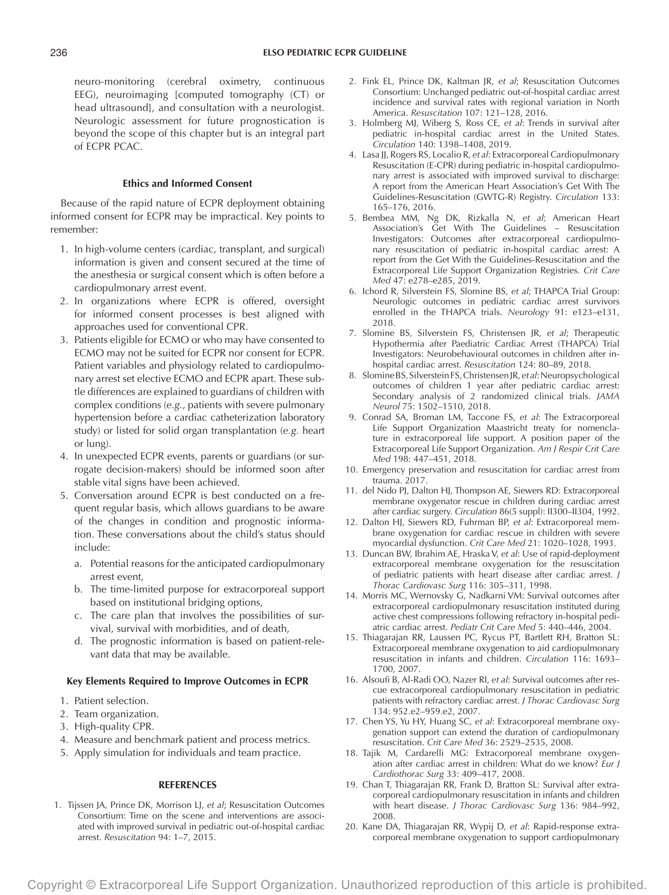neuro-monitoring (cerebral oximetry, continuous EEG), neuroimaging [computed tomography (CT) or head ultrasound], and consultation with a neurologist. Neurologic assessment for future prognostication is beyond the scope of this chapter but is an integral part of ECPR PCAC.

# **Ethics and Informed Consent**

Because of the rapid nature of ECPR deployment obtaining informed consent for ECPR may be impractical. Key points to remember:

- 1. In high-volume centers (cardiac, transplant, and surgical) information is given and consent secured at the time of the anesthesia or surgical consent which is often before a cardiopulmonary arrest event.
- 2. In organizations where ECPR is offered, oversight for informed consent processes is best aligned with approaches used for conventional CPR.
- 3. Patients eligible for ECMO or who may have consented to ECMO may not be suited for ECPR nor consent for ECPR. Patient variables and physiology related to cardiopulmonary arrest set elective ECMO and ECPR apart. These subtle differences are explained to guardians of children with complex conditions (*e.g.*, patients with severe pulmonary hypertension before a cardiac catheterization laboratory study) or listed for solid organ transplantation (*e.g.* heart or lung).
- 4. In unexpected ECPR events, parents or guardians (or surrogate decision-makers) should be informed soon after stable vital signs have been achieved.
- 5. Conversation around ECPR is best conducted on a frequent regular basis, which allows guardians to be aware of the changes in condition and prognostic information. These conversations about the child's status should include:
	- a. Potential reasons for the anticipated cardiopulmonary arrest event,
	- b. The time-limited purpose for extracorporeal support based on institutional bridging options,
	- c. The care plan that involves the possibilities of survival, survival with morbidities, and of death,
	- d. The prognostic information is based on patient-relevant data that may be available.

# **Key Elements Required to Improve Outcomes in ECPR**

- 1. Patient selection.
- 2. Team organization.
- 3. High-quality CPR.
- 4. Measure and benchmark patient and process metrics.
- 5. Apply simulation for individuals and team practice.

## **REFERENCES**

1. Tijssen JA, Prince DK, Morrison LJ, *et al*; Resuscitation Outcomes Consortium: Time on the scene and interventions are associated with improved survival in pediatric out-of-hospital cardiac arrest. *Resuscitation* 94: 1–7, 2015.

- 2. Fink EL, Prince DK, Kaltman JR, *et al*; Resuscitation Outcomes Consortium: Unchanged pediatric out-of-hospital cardiac arrest incidence and survival rates with regional variation in North America. *Resuscitation* 107: 121–128, 2016.
- 3. Holmberg MJ, Wiberg S, Ross CE, *et al*: Trends in survival after pediatric in-hospital cardiac arrest in the United States. *Circulation* 140: 1398–1408, 2019.
- 4. Lasa JJ, Rogers RS, Localio R, *et al*: Extracorporeal Cardiopulmonary Resuscitation (E-CPR) during pediatric in-hospital cardiopulmonary arrest is associated with improved survival to discharge: A report from the American Heart Association's Get With The Guidelines-Resuscitation (GWTG-R) Registry. *Circulation* 133: 165–176, 2016.
- 5. Bembea MM, Ng DK, Rizkalla N, *et al*; American Heart Association's Get With The Guidelines – Resuscitation Investigators: Outcomes after extracorporeal cardiopulmonary resuscitation of pediatric in-hospital cardiac arrest: A report from the Get With the Guidelines-Resuscitation and the Extracorporeal Life Support Organization Registries. *Crit Care Med* 47: e278–e285, 2019.
- 6. Ichord R, Silverstein FS, Slomine BS, *et al*; THAPCA Trial Group: Neurologic outcomes in pediatric cardiac arrest survivors enrolled in the THAPCA trials. *Neurology* 91: e123–e131, 2018.
- 7. Slomine BS, Silverstein FS, Christensen JR, *et al*; Therapeutic Hypothermia after Paediatric Cardiac Arrest (THAPCA) Trial Investigators: Neurobehavioural outcomes in children after inhospital cardiac arrest. *Resuscitation* 124: 80–89, 2018.
- 8. Slomine BS, Silverstein FS, Christensen JR, *et al*: Neuropsychological outcomes of children 1 year after pediatric cardiac arrest: Secondary analysis of 2 randomized clinical trials. *JAMA Neurol* 75: 1502–1510, 2018.
- 9. Conrad SA, Broman LM, Taccone FS, *et al*: The Extracorporeal Life Support Organization Maastricht treaty for nomenclature in extracorporeal life support. A position paper of the Extracorporeal Life Support Organization. *Am J Respir Crit Care Med* 198: 447–451, 2018.
- 10. Emergency preservation and resuscitation for cardiac arrest from trauma. 2017.
- 11. del Nido PJ, Dalton HJ, Thompson AE, Siewers RD: Extracorporeal membrane oxygenator rescue in children during cardiac arrest after cardiac surgery. *Circulation* 86(5 suppl): II300–II304, 1992.
- 12. Dalton HJ, Siewers RD, Fuhrman BP, *et al*: Extracorporeal membrane oxygenation for cardiac rescue in children with severe myocardial dysfunction. *Crit Care Med* 21: 1020–1028, 1993.
- 13. Duncan BW, Ibrahim AE, Hraska V, *et al*: Use of rapid-deployment extracorporeal membrane oxygenation for the resuscitation of pediatric patients with heart disease after cardiac arrest. *J Thorac Cardiovasc Surg* 116: 305–311, 1998.
- 14. Morris MC, Wernovsky G, Nadkarni VM: Survival outcomes after extracorporeal cardiopulmonary resuscitation instituted during active chest compressions following refractory in-hospital pediatric cardiac arrest. *Pediatr Crit Care Med* 5: 440–446, 2004.
- 15. Thiagarajan RR, Laussen PC, Rycus PT, Bartlett RH, Bratton SL: Extracorporeal membrane oxygenation to aid cardiopulmonary resuscitation in infants and children. *Circulation* 116: 1693– 1700, 2007.
- 16. Alsoufi B, Al-Radi OO, Nazer RI, *et al*: Survival outcomes after rescue extracorporeal cardiopulmonary resuscitation in pediatric patients with refractory cardiac arrest. *J Thorac Cardiovasc Surg* 134: 952.e2–959.e2, 2007.
- 17. Chen YS, Yu HY, Huang SC, *et al*: Extracorporeal membrane oxygenation support can extend the duration of cardiopulmonary resuscitation. *Crit Care Med* 36: 2529–2535, 2008.
- 18. Tajik M, Cardarelli MG: Extracorporeal membrane oxygenation after cardiac arrest in children: What do we know? *Eur J Cardiothorac Surg* 33: 409–417, 2008.
- 19. Chan T, Thiagarajan RR, Frank D, Bratton SL: Survival after extracorporeal cardiopulmonary resuscitation in infants and children with heart disease. *J Thorac Cardiovasc Surg* 136: 984–992, 2008.
- 20. Kane DA, Thiagarajan RR, Wypij D, *et al*: Rapid-response extracorporeal membrane oxygenation to support cardiopulmonary